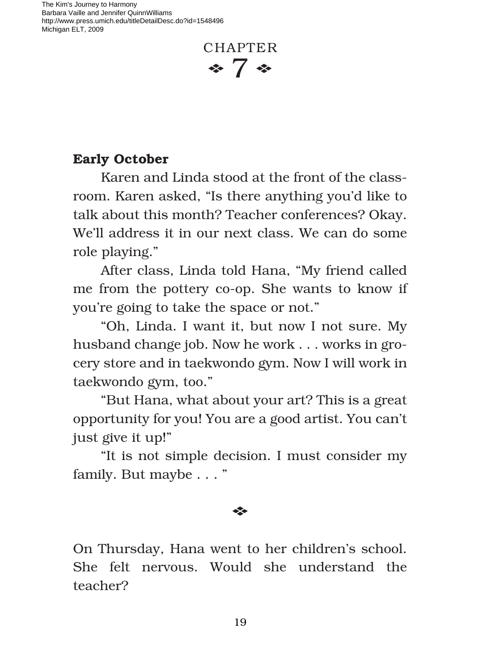The Kim's Journey to Harmony Barbara Vaille and Jennifer QuinnWilliams http://www.press.umich.edu/titleDetailDesc.do?id=1548496 Michigan ELT, 2009

## **CHAPTER**  $\approx 7$   $\approx$

## **Early October**

Karen and Linda stood at the front of the classroom. Karen asked, "Is there anything you'd like to talk about this month? Teacher conferences? Okay. We'll address it in our next class. We can do some role playing."

After class, Linda told Hana, "My friend called me from the pottery co-op. She wants to know if you're going to take the space or not."

"Oh, Linda. I want it, but now I not sure. My husband change job. Now he work . . . works in grocery store and in taekwondo gym. Now I will work in taekwondo gym, too."

"But Hana, what about your art? This is a great opportunity for you! You are a good artist. You can't just give it up!"

"It is not simple decision. I must consider my family. But maybe . . . "

## E

On Thursday, Hana went to her children's school. She felt nervous. Would she understand the teacher?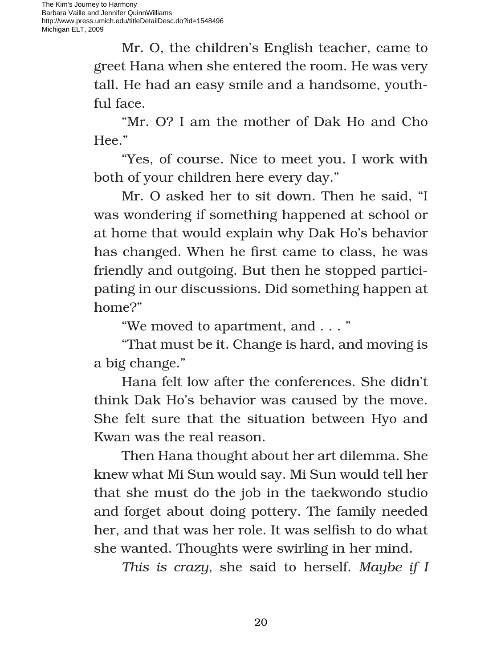Mr. O, the children's English teacher, came to greet Hana when she entered the room. He was very tall. He had an easy smile and a handsome, youthful face.

"Mr. O? I am the mother of Dak Ho and Cho Hee."

"Yes, of course. Nice to meet you. I work with both of your children here every day."

Mr. O asked her to sit down. Then he said, "I was wondering if something happened at school or at home that would explain why Dak Ho's behavior has changed. When he first came to class, he was friendly and outgoing. But then he stopped participating in our discussions. Did something happen at home?"

"We moved to apartment, and . . . "

"That must be it. Change is hard, and moving is a big change."

Hana felt low after the conferences. She didn't think Dak Ho's behavior was caused by the move. She felt sure that the situation between Hyo and Kwan was the real reason.

Then Hana thought about her art dilemma. She knew what Mi Sun would say. Mi Sun would tell her that she must do the job in the taekwondo studio and forget about doing pottery. The family needed her, and that was her role. It was selfish to do what she wanted. Thoughts were swirling in her mind.

*This is crazy,* she said to herself. *Maybe if I*